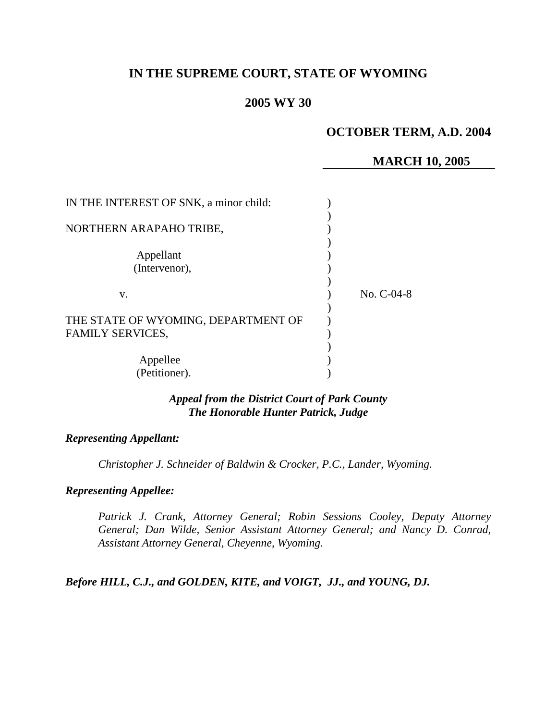# **IN THE SUPREME COURT, STATE OF WYOMING**

## **2005 WY 30**

# **OCTOBER TERM, A.D. 2004**

## **MARCH 10, 2005**

| IN THE INTEREST OF SNK, a minor child: |              |
|----------------------------------------|--------------|
|                                        |              |
| NORTHERN ARAPAHO TRIBE,                |              |
| Appellant                              |              |
| (Intervenor),                          |              |
|                                        |              |
| V.                                     | No. $C-04-8$ |
| THE STATE OF WYOMING, DEPARTMENT OF    |              |
| <b>FAMILY SERVICES,</b>                |              |
|                                        |              |
| Appellee                               |              |
| (Petitioner).                          |              |

## *Appeal from the District Court of Park County The Honorable Hunter Patrick, Judge*

#### *Representing Appellant:*

*Christopher J. Schneider of Baldwin & Crocker, P.C., Lander, Wyoming.* 

### *Representing Appellee:*

*Patrick J. Crank, Attorney General; Robin Sessions Cooley, Deputy Attorney General; Dan Wilde, Senior Assistant Attorney General; and Nancy D. Conrad, Assistant Attorney General, Cheyenne, Wyoming.* 

*Before HILL, C.J., and GOLDEN, KITE, and VOIGT, JJ., and YOUNG, DJ.*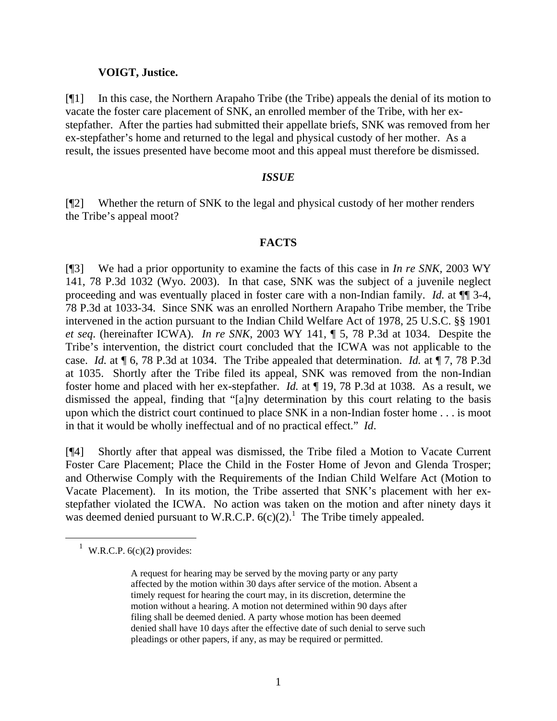### **VOIGT, Justice.**

[¶1] In this case, the Northern Arapaho Tribe (the Tribe) appeals the denial of its motion to vacate the foster care placement of SNK, an enrolled member of the Tribe, with her exstepfather. After the parties had submitted their appellate briefs, SNK was removed from her ex-stepfather's home and returned to the legal and physical custody of her mother. As a result, the issues presented have become moot and this appeal must therefore be dismissed.

## *ISSUE*

[¶2] Whether the return of SNK to the legal and physical custody of her mother renders the Tribe's appeal moot?

#### **FACTS**

[¶3] We had a prior opportunity to examine the facts of this case in *In re SNK,* 2003 WY 141, 78 P.3d 1032 (Wyo. 2003). In that case, SNK was the subject of a juvenile neglect proceeding and was eventually placed in foster care with a non-Indian family. *Id.* at ¶¶ 3-4, 78 P.3d at 1033-34. Since SNK was an enrolled Northern Arapaho Tribe member, the Tribe intervened in the action pursuant to the Indian Child Welfare Act of 1978, 25 U.S.C. §§ 1901 *et seq*. (hereinafter ICWA). *In re SNK*, 2003 WY 141, ¶ 5, 78 P.3d at 1034. Despite the Tribe's intervention, the district court concluded that the ICWA was not applicable to the case. *Id.* at ¶ 6, 78 P.3d at 1034. The Tribe appealed that determination. *Id.* at ¶ 7, 78 P.3d at 1035. Shortly after the Tribe filed its appeal, SNK was removed from the non-Indian foster home and placed with her ex-stepfather. *Id.* at ¶ 19, 78 P.3d at 1038. As a result, we dismissed the appeal, finding that "[a]ny determination by this court relating to the basis upon which the district court continued to place SNK in a non-Indian foster home . . . is moot in that it would be wholly ineffectual and of no practical effect." *Id*.

[¶4] Shortly after that appeal was dismissed, the Tribe filed a Motion to Vacate Current Foster Care Placement; Place the Child in the Foster Home of Jevon and Glenda Trosper; and Otherwise Comply with the Requirements of the Indian Child Welfare Act (Motion to Vacate Placement). In its motion, the Tribe asserted that SNK's placement with her exstepfather violated the ICWA. No action was taken on the motion and after ninety days it was deemed denied pursuant to W.R.C.P.  $6(c)(2)$ .<sup>[1](#page-1-0)</sup> The Tribe timely appealed.

<span id="page-1-0"></span><sup>&</sup>lt;sup>1</sup> W.R.C.P.  $6(c)(2)$  provides:

A request for hearing may be served by the moving party or any party affected by the motion within 30 days after service of the motion. Absent a timely request for hearing the court may, in its discretion, determine the motion without a hearing. A motion not determined within 90 days after filing shall be deemed denied. A party whose motion has been deemed denied shall have 10 days after the effective date of such denial to serve such pleadings or other papers, if any, as may be required or permitted.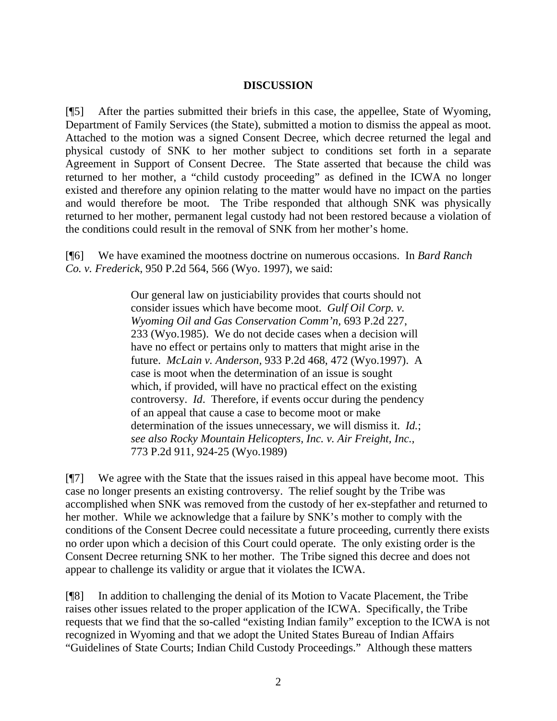### **DISCUSSION**

[¶5] After the parties submitted their briefs in this case, the appellee, State of Wyoming, Department of Family Services (the State), submitted a motion to dismiss the appeal as moot. Attached to the motion was a signed Consent Decree, which decree returned the legal and physical custody of SNK to her mother subject to conditions set forth in a separate Agreement in Support of Consent Decree. The State asserted that because the child was returned to her mother, a "child custody proceeding" as defined in the ICWA no longer existed and therefore any opinion relating to the matter would have no impact on the parties and would therefore be moot. The Tribe responded that although SNK was physically returned to her mother, permanent legal custody had not been restored because a violation of the conditions could result in the removal of SNK from her mother's home.

[¶6] We have examined the mootness doctrine on numerous occasions. In *Bard Ranch Co. v. Frederick*, 950 P.2d 564, 566 (Wyo. 1997), we said:

> Our general law on justiciability provides that courts should not consider issues which have become moot. *Gulf Oil Corp. v. Wyoming Oil and Gas Conservation Comm'n,* 693 P.2d 227, 233 (Wyo.1985). We do not decide cases when a decision will have no effect or pertains only to matters that might arise in the future. *McLain v. Anderson,* 933 P.2d 468, 472 (Wyo.1997). A case is moot when the determination of an issue is sought which, if provided, will have no practical effect on the existing controversy. *Id*. Therefore, if events occur during the pendency of an appeal that cause a case to become moot or make determination of the issues unnecessary, we will dismiss it. *Id.*; *see also Rocky Mountain Helicopters, Inc. v. Air Freight, Inc.,*  773 P.2d 911, 924-25 (Wyo.1989)

[¶7] We agree with the State that the issues raised in this appeal have become moot. This case no longer presents an existing controversy. The relief sought by the Tribe was accomplished when SNK was removed from the custody of her ex-stepfather and returned to her mother. While we acknowledge that a failure by SNK's mother to comply with the conditions of the Consent Decree could necessitate a future proceeding, currently there exists no order upon which a decision of this Court could operate. The only existing order is the Consent Decree returning SNK to her mother. The Tribe signed this decree and does not appear to challenge its validity or argue that it violates the ICWA.

[¶8] In addition to challenging the denial of its Motion to Vacate Placement, the Tribe raises other issues related to the proper application of the ICWA. Specifically, the Tribe requests that we find that the so-called "existing Indian family" exception to the ICWA is not recognized in Wyoming and that we adopt the United States Bureau of Indian Affairs "Guidelines of State Courts; Indian Child Custody Proceedings." Although these matters